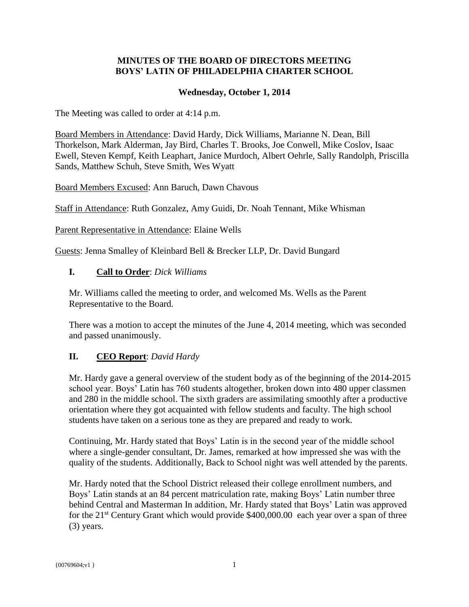## **MINUTES OF THE BOARD OF DIRECTORS MEETING BOYS' LATIN OF PHILADELPHIA CHARTER SCHOOL**

## **Wednesday, October 1, 2014**

The Meeting was called to order at 4:14 p.m.

Board Members in Attendance: David Hardy, Dick Williams, Marianne N. Dean, Bill Thorkelson, Mark Alderman, Jay Bird, Charles T. Brooks, Joe Conwell, Mike Coslov, Isaac Ewell, Steven Kempf, Keith Leaphart, Janice Murdoch, Albert Oehrle, Sally Randolph, Priscilla Sands, Matthew Schuh, Steve Smith, Wes Wyatt

Board Members Excused: Ann Baruch, Dawn Chavous

Staff in Attendance: Ruth Gonzalez, Amy Guidi, Dr. Noah Tennant, Mike Whisman

Parent Representative in Attendance: Elaine Wells

Guests: Jenna Smalley of Kleinbard Bell & Brecker LLP, Dr. David Bungard

## **I. Call to Order**: *Dick Williams*

Mr. Williams called the meeting to order, and welcomed Ms. Wells as the Parent Representative to the Board.

There was a motion to accept the minutes of the June 4, 2014 meeting, which was seconded and passed unanimously.

# **II. CEO Report**: *David Hardy*

Mr. Hardy gave a general overview of the student body as of the beginning of the 2014-2015 school year. Boys' Latin has 760 students altogether, broken down into 480 upper classmen and 280 in the middle school. The sixth graders are assimilating smoothly after a productive orientation where they got acquainted with fellow students and faculty. The high school students have taken on a serious tone as they are prepared and ready to work.

Continuing, Mr. Hardy stated that Boys' Latin is in the second year of the middle school where a single-gender consultant, Dr. James, remarked at how impressed she was with the quality of the students. Additionally, Back to School night was well attended by the parents.

Mr. Hardy noted that the School District released their college enrollment numbers, and Boys' Latin stands at an 84 percent matriculation rate, making Boys' Latin number three behind Central and Masterman In addition, Mr. Hardy stated that Boys' Latin was approved for the 21<sup>st</sup> Century Grant which would provide \$400,000.00 each year over a span of three (3) years.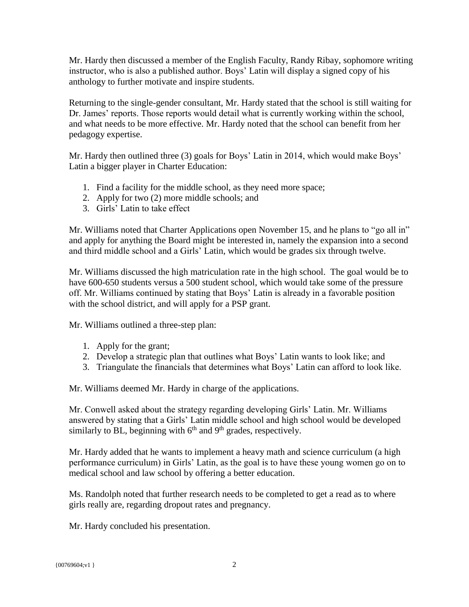Mr. Hardy then discussed a member of the English Faculty, Randy Ribay, sophomore writing instructor, who is also a published author. Boys' Latin will display a signed copy of his anthology to further motivate and inspire students.

Returning to the single-gender consultant, Mr. Hardy stated that the school is still waiting for Dr. James' reports. Those reports would detail what is currently working within the school, and what needs to be more effective. Mr. Hardy noted that the school can benefit from her pedagogy expertise.

Mr. Hardy then outlined three (3) goals for Boys' Latin in 2014, which would make Boys' Latin a bigger player in Charter Education:

- 1. Find a facility for the middle school, as they need more space;
- 2. Apply for two (2) more middle schools; and
- 3. Girls' Latin to take effect

Mr. Williams noted that Charter Applications open November 15, and he plans to "go all in" and apply for anything the Board might be interested in, namely the expansion into a second and third middle school and a Girls' Latin, which would be grades six through twelve.

Mr. Williams discussed the high matriculation rate in the high school. The goal would be to have 600-650 students versus a 500 student school, which would take some of the pressure off. Mr. Williams continued by stating that Boys' Latin is already in a favorable position with the school district, and will apply for a PSP grant.

Mr. Williams outlined a three-step plan:

- 1. Apply for the grant;
- 2. Develop a strategic plan that outlines what Boys' Latin wants to look like; and
- 3. Triangulate the financials that determines what Boys' Latin can afford to look like.

Mr. Williams deemed Mr. Hardy in charge of the applications.

Mr. Conwell asked about the strategy regarding developing Girls' Latin. Mr. Williams answered by stating that a Girls' Latin middle school and high school would be developed similarly to BL, beginning with  $6<sup>th</sup>$  and  $9<sup>th</sup>$  grades, respectively.

Mr. Hardy added that he wants to implement a heavy math and science curriculum (a high performance curriculum) in Girls' Latin, as the goal is to have these young women go on to medical school and law school by offering a better education.

Ms. Randolph noted that further research needs to be completed to get a read as to where girls really are, regarding dropout rates and pregnancy.

Mr. Hardy concluded his presentation.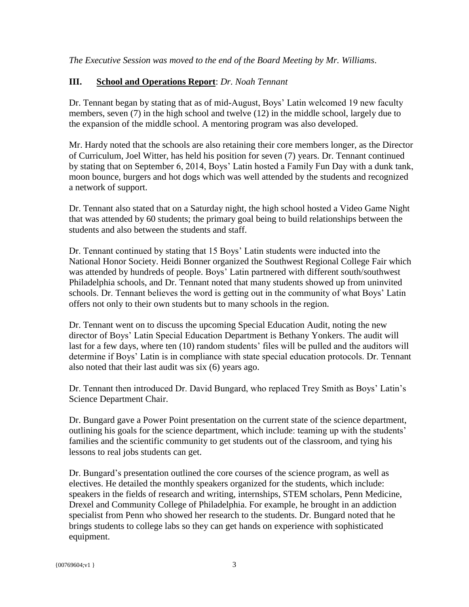*The Executive Session was moved to the end of the Board Meeting by Mr. Williams*.

## **III. School and Operations Report**: *Dr. Noah Tennant*

Dr. Tennant began by stating that as of mid-August, Boys' Latin welcomed 19 new faculty members, seven (7) in the high school and twelve (12) in the middle school, largely due to the expansion of the middle school. A mentoring program was also developed.

Mr. Hardy noted that the schools are also retaining their core members longer, as the Director of Curriculum, Joel Witter, has held his position for seven (7) years. Dr. Tennant continued by stating that on September 6, 2014, Boys' Latin hosted a Family Fun Day with a dunk tank, moon bounce, burgers and hot dogs which was well attended by the students and recognized a network of support.

Dr. Tennant also stated that on a Saturday night, the high school hosted a Video Game Night that was attended by 60 students; the primary goal being to build relationships between the students and also between the students and staff.

Dr. Tennant continued by stating that 15 Boys' Latin students were inducted into the National Honor Society. Heidi Bonner organized the Southwest Regional College Fair which was attended by hundreds of people. Boys' Latin partnered with different south/southwest Philadelphia schools, and Dr. Tennant noted that many students showed up from uninvited schools. Dr. Tennant believes the word is getting out in the community of what Boys' Latin offers not only to their own students but to many schools in the region.

Dr. Tennant went on to discuss the upcoming Special Education Audit, noting the new director of Boys' Latin Special Education Department is Bethany Yonkers. The audit will last for a few days, where ten (10) random students' files will be pulled and the auditors will determine if Boys' Latin is in compliance with state special education protocols. Dr. Tennant also noted that their last audit was six (6) years ago.

Dr. Tennant then introduced Dr. David Bungard, who replaced Trey Smith as Boys' Latin's Science Department Chair.

Dr. Bungard gave a Power Point presentation on the current state of the science department, outlining his goals for the science department, which include: teaming up with the students' families and the scientific community to get students out of the classroom, and tying his lessons to real jobs students can get.

Dr. Bungard's presentation outlined the core courses of the science program, as well as electives. He detailed the monthly speakers organized for the students, which include: speakers in the fields of research and writing, internships, STEM scholars, Penn Medicine, Drexel and Community College of Philadelphia. For example, he brought in an addiction specialist from Penn who showed her research to the students. Dr. Bungard noted that he brings students to college labs so they can get hands on experience with sophisticated equipment.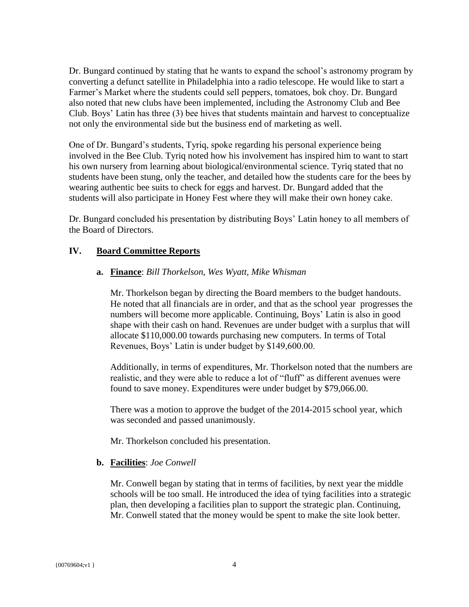Dr. Bungard continued by stating that he wants to expand the school's astronomy program by converting a defunct satellite in Philadelphia into a radio telescope. He would like to start a Farmer's Market where the students could sell peppers, tomatoes, bok choy. Dr. Bungard also noted that new clubs have been implemented, including the Astronomy Club and Bee Club. Boys' Latin has three (3) bee hives that students maintain and harvest to conceptualize not only the environmental side but the business end of marketing as well.

One of Dr. Bungard's students, Tyriq, spoke regarding his personal experience being involved in the Bee Club. Tyriq noted how his involvement has inspired him to want to start his own nursery from learning about biological/environmental science. Tyriq stated that no students have been stung, only the teacher, and detailed how the students care for the bees by wearing authentic bee suits to check for eggs and harvest. Dr. Bungard added that the students will also participate in Honey Fest where they will make their own honey cake.

Dr. Bungard concluded his presentation by distributing Boys' Latin honey to all members of the Board of Directors.

## **IV. Board Committee Reports**

#### **a. Finance**: *Bill Thorkelson, Wes Wyatt, Mike Whisman*

Mr. Thorkelson began by directing the Board members to the budget handouts. He noted that all financials are in order, and that as the school year progresses the numbers will become more applicable. Continuing, Boys' Latin is also in good shape with their cash on hand. Revenues are under budget with a surplus that will allocate \$110,000.00 towards purchasing new computers. In terms of Total Revenues, Boys' Latin is under budget by \$149,600.00.

Additionally, in terms of expenditures, Mr. Thorkelson noted that the numbers are realistic, and they were able to reduce a lot of "fluff" as different avenues were found to save money. Expenditures were under budget by \$79,066.00.

There was a motion to approve the budget of the 2014-2015 school year, which was seconded and passed unanimously.

Mr. Thorkelson concluded his presentation.

#### **b. Facilities**: *Joe Conwell*

Mr. Conwell began by stating that in terms of facilities, by next year the middle schools will be too small. He introduced the idea of tying facilities into a strategic plan, then developing a facilities plan to support the strategic plan. Continuing, Mr. Conwell stated that the money would be spent to make the site look better.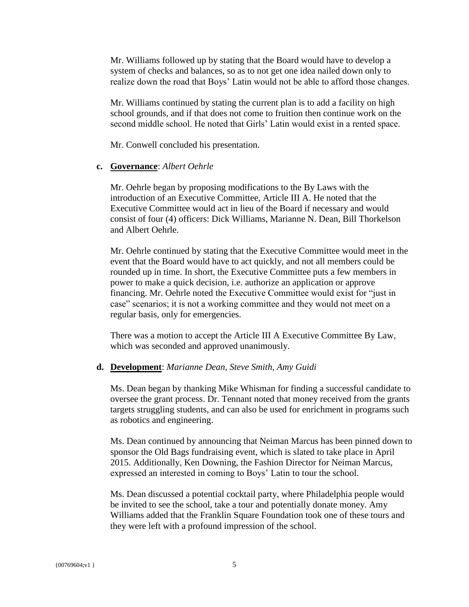Mr. Williams followed up by stating that the Board would have to develop a system of checks and balances, so as to not get one idea nailed down only to realize down the road that Boys' Latin would not be able to afford those changes.

Mr. Williams continued by stating the current plan is to add a facility on high school grounds, and if that does not come to fruition then continue work on the second middle school. He noted that Girls' Latin would exist in a rented space.

Mr. Conwell concluded his presentation.

#### **c. Governance**: *Albert Oehrle*

Mr. Oehrle began by proposing modifications to the By Laws with the introduction of an Executive Committee, Article III A. He noted that the Executive Committee would act in lieu of the Board if necessary and would consist of four (4) officers: Dick Williams, Marianne N. Dean, Bill Thorkelson and Albert Oehrle.

Mr. Oehrle continued by stating that the Executive Committee would meet in the event that the Board would have to act quickly, and not all members could be rounded up in time. In short, the Executive Committee puts a few members in power to make a quick decision, i.e. authorize an application or approve financing. Mr. Oehrle noted the Executive Committee would exist for "just in case" scenarios; it is not a working committee and they would not meet on a regular basis, only for emergencies.

There was a motion to accept the Article III A Executive Committee By Law, which was seconded and approved unanimously.

#### **d. Development**: *Marianne Dean, Steve Smith, Amy Guidi*

Ms. Dean began by thanking Mike Whisman for finding a successful candidate to oversee the grant process. Dr. Tennant noted that money received from the grants targets struggling students, and can also be used for enrichment in programs such as robotics and engineering.

Ms. Dean continued by announcing that Neiman Marcus has been pinned down to sponsor the Old Bags fundraising event, which is slated to take place in April 2015. Additionally, Ken Downing, the Fashion Director for Neiman Marcus, expressed an interested in coming to Boys' Latin to tour the school.

Ms. Dean discussed a potential cocktail party, where Philadelphia people would be invited to see the school, take a tour and potentially donate money. Amy Williams added that the Franklin Square Foundation took one of these tours and they were left with a profound impression of the school.